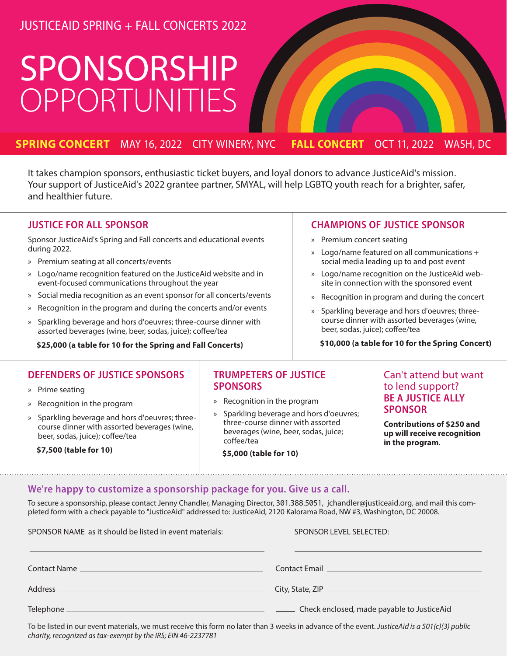## JUSTICEAID SPRING + FALL CONCERTS 2022

# SPONSORSHIP OPPORTUNITIES

### **SPRING CONCERT** MAY 16, 2022 CITY WINERY, NYC **FALL CONCERT** OCT 11, 2022 WASH, DC

It takes champion sponsors, enthusiastic ticket buyers, and loyal donors to advance JusticeAid's mission. Your support of JusticeAid's 2022 grantee partner, SMYAL, will help LGBTQ youth reach for a brighter, safer, and healthier future.

#### JUSTICE FOR ALL SPONSOR

Sponsor JusticeAid's Spring and Fall concerts and educational events during 2022.

- » Premium seating at all concerts/events
- » Logo/name recognition featured on the JusticeAid website and in event-focused communications throughout the year
- » Social media recognition as an event sponsor for all concerts/events
- » Recognition in the program and during the concerts and/or events
- » Sparkling beverage and hors d'oeuvres; three-course dinner with assorted beverages (wine, beer, sodas, juice); coffee/tea

 **\$25,000 (a table for 10 for the Spring and Fall Concerts)**

#### CHAMPIONS OF JUSTICE SPONSOR

- » Premium concert seating
- » Logo/name featured on all communications + social media leading up to and post event
- » Logo/name recognition on the JusticeAid website in connection with the sponsored event
- » Recognition in program and during the concert
- » Sparkling beverage and hors d'oeuvres; threecourse dinner with assorted beverages (wine, beer, sodas, juice); coffee/tea

#### **\$10,000 (a table for 10 for the Spring Concert)**

#### DEFENDERS OF JUSTICE SPONSORS

- » Prime seating
- » Recognition in the program
- » Sparkling beverage and hors d'oeuvres; threecourse dinner with assorted beverages (wine, beer, sodas, juice); coffee/tea

 **\$7,500 (table for 10)**

#### TRUMPETERS OF JUSTICE **SPONSORS**

- » Recognition in the program
- » Sparkling beverage and hors d'oeuvres; three-course dinner with assorted beverages (wine, beer, sodas, juice; coffee/tea
	- **\$5,000 (table for 10)**

#### Can't attend but want to lend support? BE A JUSTICE ALLY **SPONSOR**

**Contributions of \$250 and up will receive recognition in the program**.

#### We're happy to customize a sponsorship package for you. Give us a call.

To secure a sponsorship, please contact Jenny Chandler, Managing Director, 301.388.5051, jchandler@justiceaid.org, and mail this completed form with a check payable to "JusticeAid" addressed to: JusticeAid, 2120 Kalorama Road, NW #3, Washington, DC 20008.

| SPONSOR NAME as it should be listed in event materials: | SPONSOR LEVEL SELECTED:                    |
|---------------------------------------------------------|--------------------------------------------|
|                                                         | <b>Contact Email Contact Email</b>         |
|                                                         |                                            |
|                                                         | Check enclosed, made payable to JusticeAid |

1 To be listed in our event materials, we must receive this form no later than 3 weeks in advance of the event. *JusticeAid is a 501(c)(3) public charity, recognized as tax-exempt by the IRS; EIN 46-2237781*